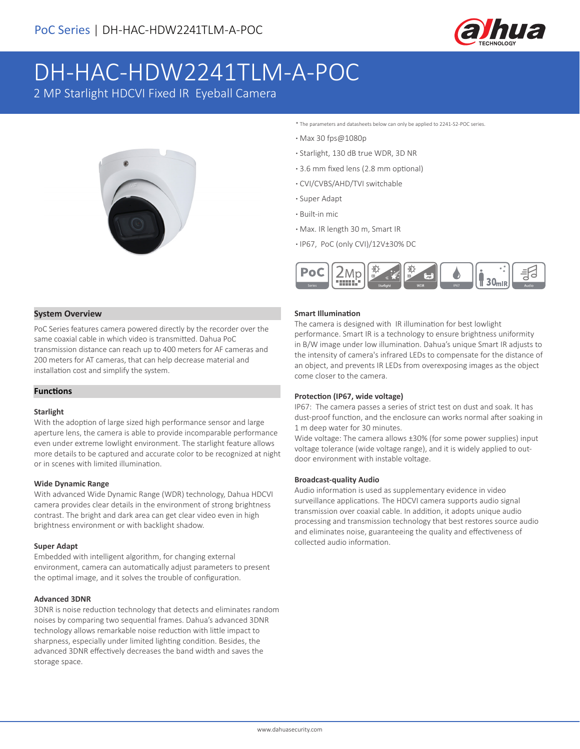

# DH-HAC-HDW2241TLM-A-POC

2 MP Starlight HDCVI Fixed IR Eyeball Camera



- \* The parameters and datasheets below can only be applied to 2241-S2-POC series.
- **·** Max 30 fps@1080p
- **·** Starlight, 130 dB true WDR, 3D NR
- **·** 3.6 mm fixed lens (2.8 mm optional)
- **·** CVI/CVBS/AHD/TVI switchable
- **·** Super Adapt
- **·** Built-in mic
- **·** Max. IR length 30 m, Smart IR
- **·** IP67, PoC (only CVI)/12V±30% DC



#### **System Overview**

PoC Series features camera powered directly by the recorder over the same coaxial cable in which video is transmitted. Dahua PoC transmission distance can reach up to 400 meters for AF cameras and 200 meters for AT cameras, that can help decrease material and installation cost and simplify the system.

#### **Functions**

#### **Starlight**

With the adoption of large sized high performance sensor and large aperture lens, the camera is able to provide incomparable performance even under extreme lowlight environment. The starlight feature allows more details to be captured and accurate color to be recognized at night or in scenes with limited illumination.

#### **Wide Dynamic Range**

With advanced Wide Dynamic Range (WDR) technology, Dahua HDCVI camera provides clear details in the environment of strong brightness contrast. The bright and dark area can get clear video even in high brightness environment or with backlight shadow.

#### **Super Adapt**

Embedded with intelligent algorithm, for changing external environment, camera can automatically adjust parameters to present the optimal image, and it solves the trouble of configuration.

#### **Advanced 3DNR**

3DNR is noise reduction technology that detects and eliminates random noises by comparing two sequential frames. Dahua's advanced 3DNR technology allows remarkable noise reduction with little impact to sharpness, especially under limited lighting condition. Besides, the advanced 3DNR effectively decreases the band width and saves the storage space.

#### **Smart Illumination**

The camera is designed with IR illumination for best lowlight performance. Smart IR is a technology to ensure brightness uniformity in B/W image under low illumination. Dahua's unique Smart IR adjusts to the intensity of camera's infrared LEDs to compensate for the distance of an object, and prevents IR LEDs from overexposing images as the object come closer to the camera.

#### **Protection (IP67, wide voltage)**

IP67: The camera passes a series of strict test on dust and soak. It has dust-proof function, and the enclosure can works normal after soaking in 1 m deep water for 30 minutes.

Wide voltage: The camera allows ±30% (for some power supplies) input voltage tolerance (wide voltage range), and it is widely applied to outdoor environment with instable voltage.

#### **Broadcast-quality Audio**

Audio information is used as supplementary evidence in video surveillance applications. The HDCVI camera supports audio signal transmission over coaxial cable. In addition, it adopts unique audio processing and transmission technology that best restores source audio and eliminates noise, guaranteeing the quality and effectiveness of collected audio information.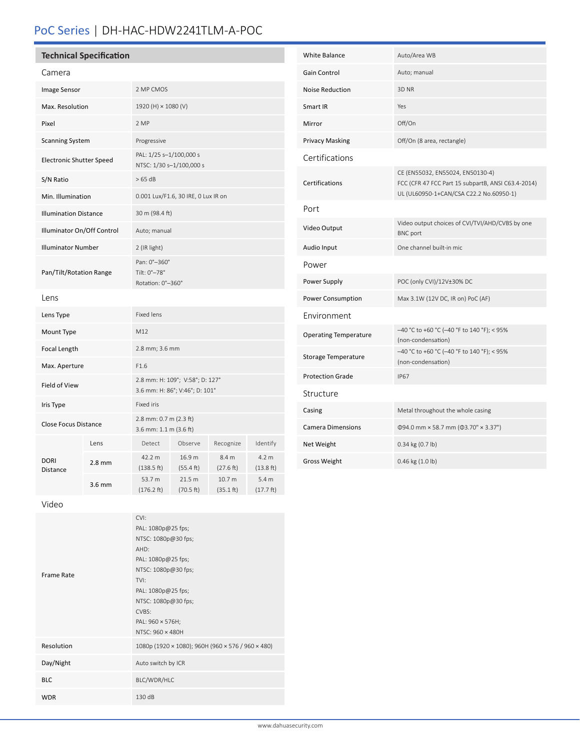# PoC Series | DH-HAC-HDW2241TLM-A-POC

## **Technical Specification**

| Camera                          |          |                                                                   |                     |                     |                                         |
|---------------------------------|----------|-------------------------------------------------------------------|---------------------|---------------------|-----------------------------------------|
| <b>Image Sensor</b>             |          | 2 MP CMOS                                                         |                     |                     |                                         |
| Max. Resolution                 |          | 1920 (H) × 1080 (V)                                               |                     |                     |                                         |
| Pixel                           |          | 2 MP                                                              |                     |                     |                                         |
| <b>Scanning System</b>          |          | Progressive                                                       |                     |                     |                                         |
| <b>Electronic Shutter Speed</b> |          | PAL: 1/25 s-1/100,000 s<br>NTSC: 1/30 s-1/100,000 s               |                     |                     |                                         |
| S/N Ratio                       |          | >65 dB                                                            |                     |                     |                                         |
| Min. Illumination               |          | 0.001 Lux/F1.6, 30 IRE, 0 Lux IR on                               |                     |                     |                                         |
| <b>Illumination Distance</b>    |          | 30 m (98.4 ft)                                                    |                     |                     |                                         |
| Illuminator On/Off Control      |          | Auto; manual                                                      |                     |                     |                                         |
| <b>Illuminator Number</b>       |          | 2 (IR light)                                                      |                     |                     |                                         |
| Pan/Tilt/Rotation Range         |          | Pan: 0°-360°<br>Tilt: 0°-78°<br>Rotation: 0°-360°                 |                     |                     |                                         |
| Lens                            |          |                                                                   |                     |                     |                                         |
| Lens Type                       |          | <b>Fixed lens</b>                                                 |                     |                     |                                         |
| Mount Type                      |          | M12                                                               |                     |                     |                                         |
| Focal Length                    |          | 2.8 mm; 3.6 mm                                                    |                     |                     |                                         |
| Max. Aperture                   |          | F1.6                                                              |                     |                     |                                         |
| Field of View                   |          | 2.8 mm: H: 109°; V:58°; D: 127°<br>3.6 mm: H: 86°; V:46°; D: 101° |                     |                     |                                         |
| Iris Type                       |          | Fixed iris                                                        |                     |                     |                                         |
| <b>Close Focus Distance</b>     |          | 2.8 mm: 0.7 m (2.3 ft)<br>3.6 mm: 1.1 m (3.6 ft)                  |                     |                     |                                         |
| DORI<br><b>Distance</b>         | Lens     | Detect                                                            | Observe             | Recognize           | Identify                                |
|                                 | $2.8$ mm | 42.2 m<br>(138.5 ft)                                              | 16.9 m<br>(55.4 ft) | 8.4 m<br>(27.6 ft)  | 4.2 m<br>(13.8 ft)                      |
|                                 | 3.6 mm   | 53.7 m<br>(176.2 ft)                                              | 21.5 m<br>(70.5 ft) | 10.7 m<br>(35.1 ft) | 5.4 <sub>m</sub><br>$(17.7 \text{ ft})$ |
|                                 |          |                                                                   |                     |                     |                                         |

| <b>White Balance</b>         | Auto/Area WB                                                                                                                      |  |  |
|------------------------------|-----------------------------------------------------------------------------------------------------------------------------------|--|--|
| <b>Gain Control</b>          | Auto; manual                                                                                                                      |  |  |
| <b>Noise Reduction</b>       | 3D <sub>NR</sub>                                                                                                                  |  |  |
| Smart IR                     | Yes                                                                                                                               |  |  |
| Mirror                       | Off/On                                                                                                                            |  |  |
| <b>Privacy Masking</b>       | Off/On (8 area, rectangle)                                                                                                        |  |  |
| Certifications               |                                                                                                                                   |  |  |
| <b>Certifications</b>        | CE (EN55032, EN55024, EN50130-4)<br>FCC (CFR 47 FCC Part 15 subpartB, ANSI C63.4-2014)<br>UL (UL60950-1+CAN/CSA C22.2 No.60950-1) |  |  |
| Port                         |                                                                                                                                   |  |  |
| Video Output                 | Video output choices of CVI/TVI/AHD/CVBS by one<br><b>BNC</b> port                                                                |  |  |
| Audio Input                  | One channel built-in mic                                                                                                          |  |  |
| Power                        |                                                                                                                                   |  |  |
| Power Supply                 | POC (only CVI)/12V±30% DC                                                                                                         |  |  |
| Power Consumption            | Max 3.1W (12V DC, IR on) PoC (AF)                                                                                                 |  |  |
| Environment                  |                                                                                                                                   |  |  |
| <b>Operating Temperature</b> | -40 °C to +60 °C (-40 °F to 140 °F); < 95%<br>(non-condensation)                                                                  |  |  |
| Storage Temperature          | -40 °C to +60 °C (-40 °F to 140 °F); < 95%<br>(non-condensation)                                                                  |  |  |
| <b>Protection Grade</b>      | <b>IP67</b>                                                                                                                       |  |  |
| Structure                    |                                                                                                                                   |  |  |
| Casing                       | Metal throughout the whole casing                                                                                                 |  |  |
| <b>Camera Dimensions</b>     | $\Phi$ 94.0 mm × 58.7 mm ( $\Phi$ 3.70" × 3.37")                                                                                  |  |  |
| Net Weight                   | 0.34 kg (0.7 lb)                                                                                                                  |  |  |
| Gross Weight                 | 0.46 kg (1.0 lb)                                                                                                                  |  |  |

Video

| <b>Frame Rate</b> | CVI:<br>PAL: 1080p@25 fps;<br>NTSC: 1080p@30 fps;<br>AHD:<br>PAL: 1080p@25 fps;<br>NTSC: 1080p@30 fps;<br>TVI:<br>PAL: 1080p@25 fps;<br>NTSC: 1080p@30 fps;<br>CVBS: |  |
|-------------------|----------------------------------------------------------------------------------------------------------------------------------------------------------------------|--|
| Resolution        | PAL: 960 × 576H;<br>NTSC: 960 × 480H<br>1080p (1920 × 1080); 960H (960 × 576 / 960 × 480)                                                                            |  |
| Day/Night         | Auto switch by ICR                                                                                                                                                   |  |
| <b>BLC</b>        | BLC/WDR/HLC                                                                                                                                                          |  |
| <b>WDR</b>        | 130 dB                                                                                                                                                               |  |